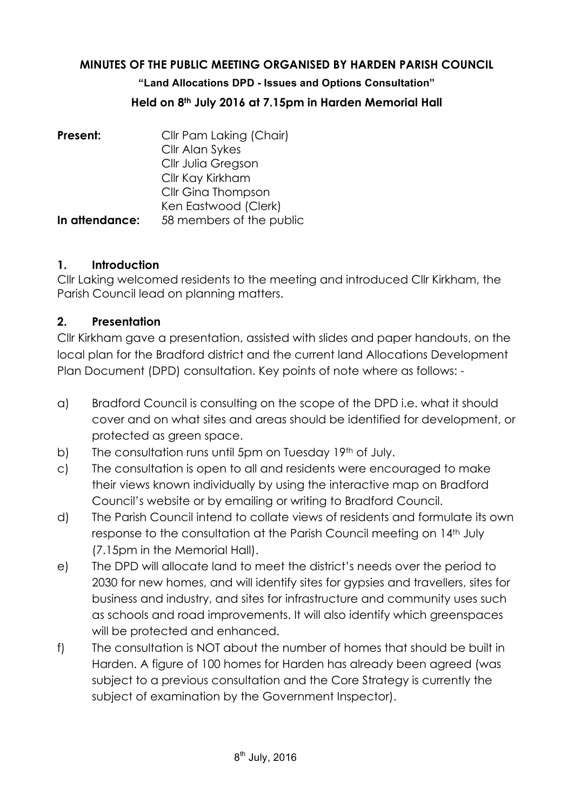### **MINUTES OF THE PUBLIC MEETING ORGANISED BY HARDEN PARISH COUNCIL**

**"Land Allocations DPD - Issues and Options Consultation"**

#### **Held on 8th July 2016 at 7.15pm in Harden Memorial Hall**

| Present:       | Cllr Pam Laking (Chair)  |
|----------------|--------------------------|
|                | Cllr Alan Sykes          |
|                | Cllr Julia Gregson       |
|                | Cllr Kay Kirkham         |
|                | Cllr Gina Thompson       |
|                | Ken Eastwood (Clerk)     |
| In attendance: | 58 members of the public |

#### **1. Introduction**

Cllr Laking welcomed residents to the meeting and introduced Cllr Kirkham, the Parish Council lead on planning matters.

### **2. Presentation**

Cllr Kirkham gave a presentation, assisted with slides and paper handouts, on the local plan for the Bradford district and the current land Allocations Development Plan Document (DPD) consultation. Key points of note where as follows: -

- a) Bradford Council is consulting on the scope of the DPD i.e. what it should cover and on what sites and areas should be identified for development, or protected as green space.
- b) The consultation runs until 5pm on Tuesday 19<sup>th</sup> of July.
- c) The consultation is open to all and residents were encouraged to make their views known individually by using the interactive map on Bradford Council's website or by emailing or writing to Bradford Council.
- d) The Parish Council intend to collate views of residents and formulate its own response to the consultation at the Parish Council meeting on 14th July (7.15pm in the Memorial Hall).
- e) The DPD will allocate land to meet the district's needs over the period to 2030 for new homes, and will identify sites for gypsies and travellers, sites for business and industry, and sites for infrastructure and community uses such as schools and road improvements. It will also identify which greenspaces will be protected and enhanced.
- f) The consultation is NOT about the number of homes that should be built in Harden. A figure of 100 homes for Harden has already been agreed (was subject to a previous consultation and the Core Strategy is currently the subject of examination by the Government Inspector).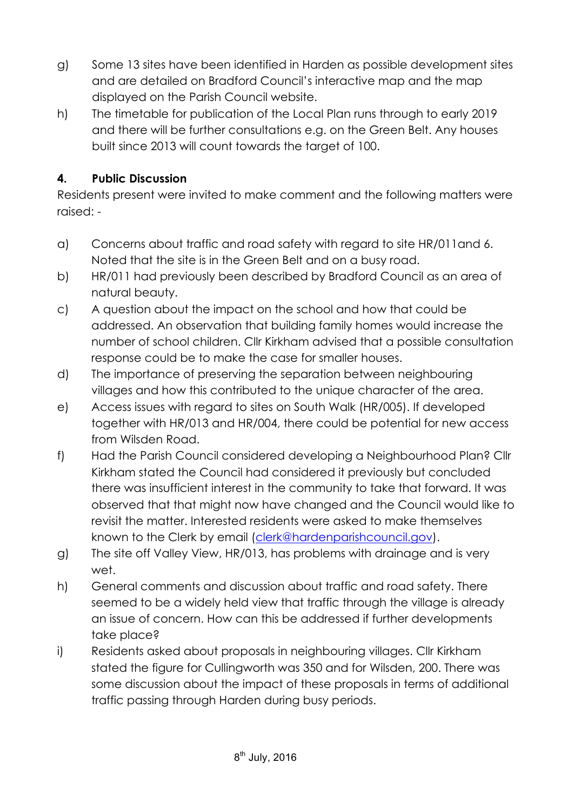- g) Some 13 sites have been identified in Harden as possible development sites and are detailed on Bradford Council's interactive map and the map displayed on the Parish Council website.
- h) The timetable for publication of the Local Plan runs through to early 2019 and there will be further consultations e.g. on the Green Belt. Any houses built since 2013 will count towards the target of 100.

# **4. Public Discussion**

Residents present were invited to make comment and the following matters were raised: -

- a) Concerns about traffic and road safety with regard to site HR/011and 6. Noted that the site is in the Green Belt and on a busy road.
- b) HR/011 had previously been described by Bradford Council as an area of natural beauty.
- c) A question about the impact on the school and how that could be addressed. An observation that building family homes would increase the number of school children. Cllr Kirkham advised that a possible consultation response could be to make the case for smaller houses.
- d) The importance of preserving the separation between neighbouring villages and how this contributed to the unique character of the area.
- e) Access issues with regard to sites on South Walk (HR/005). If developed together with HR/013 and HR/004, there could be potential for new access from Wilsden Road.
- f) Had the Parish Council considered developing a Neighbourhood Plan? Cllr Kirkham stated the Council had considered it previously but concluded there was insufficient interest in the community to take that forward. It was observed that that might now have changed and the Council would like to revisit the matter. Interested residents were asked to make themselves known to the Clerk by email (clerk@hardenparishcouncil.gov).
- g) The site off Valley View, HR/013, has problems with drainage and is very wet.
- h) General comments and discussion about traffic and road safety. There seemed to be a widely held view that traffic through the village is already an issue of concern. How can this be addressed if further developments take place?
- i) Residents asked about proposals in neighbouring villages. Cllr Kirkham stated the figure for Cullingworth was 350 and for Wilsden, 200. There was some discussion about the impact of these proposals in terms of additional traffic passing through Harden during busy periods.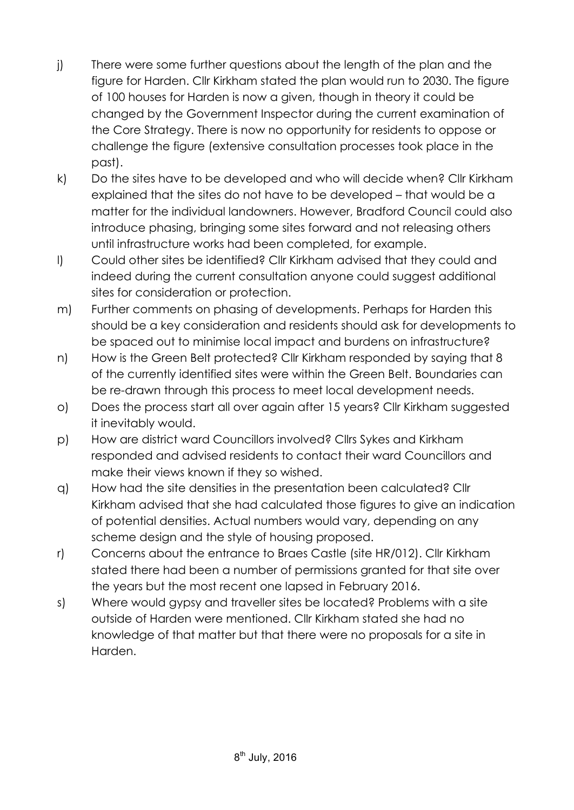- j) There were some further questions about the length of the plan and the figure for Harden. Cllr Kirkham stated the plan would run to 2030. The figure of 100 houses for Harden is now a given, though in theory it could be changed by the Government Inspector during the current examination of the Core Strategy. There is now no opportunity for residents to oppose or challenge the figure (extensive consultation processes took place in the past).
- k) Do the sites have to be developed and who will decide when? Cllr Kirkham explained that the sites do not have to be developed – that would be a matter for the individual landowners. However, Bradford Council could also introduce phasing, bringing some sites forward and not releasing others until infrastructure works had been completed, for example.
- l) Could other sites be identified? Cllr Kirkham advised that they could and indeed during the current consultation anyone could suggest additional sites for consideration or protection.
- m) Further comments on phasing of developments. Perhaps for Harden this should be a key consideration and residents should ask for developments to be spaced out to minimise local impact and burdens on infrastructure?
- n) How is the Green Belt protected? Cllr Kirkham responded by saying that 8 of the currently identified sites were within the Green Belt. Boundaries can be re-drawn through this process to meet local development needs.
- o) Does the process start all over again after 15 years? Cllr Kirkham suggested it inevitably would.
- p) How are district ward Councillors involved? Cllrs Sykes and Kirkham responded and advised residents to contact their ward Councillors and make their views known if they so wished.
- q) How had the site densities in the presentation been calculated? Cllr Kirkham advised that she had calculated those figures to give an indication of potential densities. Actual numbers would vary, depending on any scheme design and the style of housing proposed.
- r) Concerns about the entrance to Braes Castle (site HR/012). Cllr Kirkham stated there had been a number of permissions granted for that site over the years but the most recent one lapsed in February 2016.
- s) Where would gypsy and traveller sites be located? Problems with a site outside of Harden were mentioned. Cllr Kirkham stated she had no knowledge of that matter but that there were no proposals for a site in Harden.